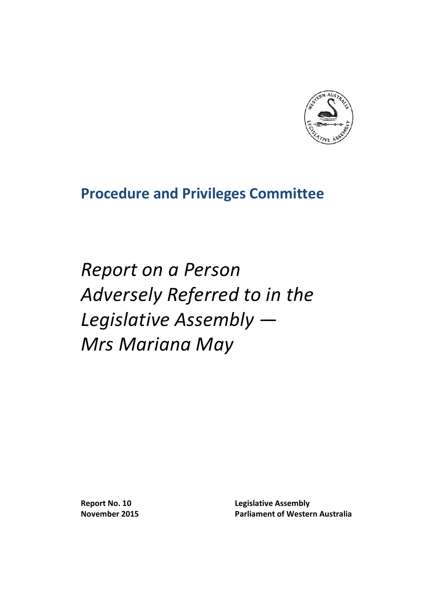

# **Procedure and Privileges Committee**

*Report on a Person Adversely Referred to in the Legislative Assembly — Mrs Mariana May*

**Report No. 10 Legislative Assembly November 2015 Parliament of Western Australia**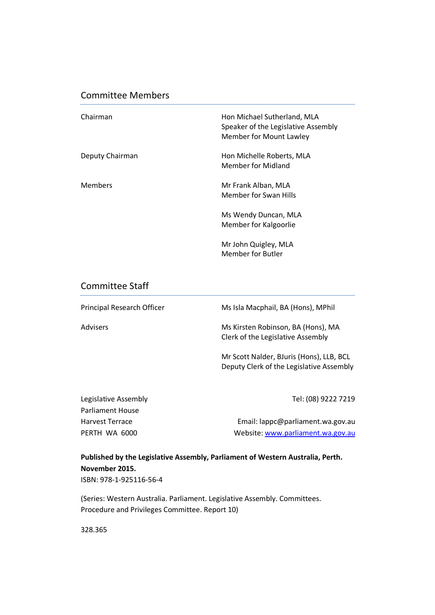### Committee Members

| Chairman        | Hon Michael Sutherland, MLA<br>Speaker of the Legislative Assembly<br>Member for Mount Lawley |
|-----------------|-----------------------------------------------------------------------------------------------|
| Deputy Chairman | Hon Michelle Roberts, MLA<br>Member for Midland                                               |
| <b>Members</b>  | Mr Frank Alban, MLA<br>Member for Swan Hills                                                  |
|                 | Ms Wendy Duncan, MLA<br>Member for Kalgoorlie                                                 |
|                 | Mr John Quigley, MLA<br><b>Member for Butler</b>                                              |

### Committee Staff

| Principal Research Officer | Ms Isla Macphail, BA (Hons), MPhil                                                   |
|----------------------------|--------------------------------------------------------------------------------------|
| <b>Advisers</b>            | Ms Kirsten Robinson, BA (Hons), MA<br>Clerk of the Legislative Assembly              |
|                            | Mr Scott Nalder, BJuris (Hons), LLB, BCL<br>Deputy Clerk of the Legislative Assembly |

Legislative Assembly **Tel:** (08) 9222 7219

| <b>Parliament House</b> |                                   |
|-------------------------|-----------------------------------|
| <b>Harvest Terrace</b>  | Email: lappc@parliament.wa.gov.au |
| PERTH WA 6000           | Website: www.parliament.wa.gov.au |
|                         |                                   |

### **Published by the Legislative Assembly, Parliament of Western Australia, Perth. November 2015.**

ISBN: 978-1-925116-56-4

(Series: Western Australia. Parliament. Legislative Assembly. Committees. Procedure and Privileges Committee. Report 10)

328.365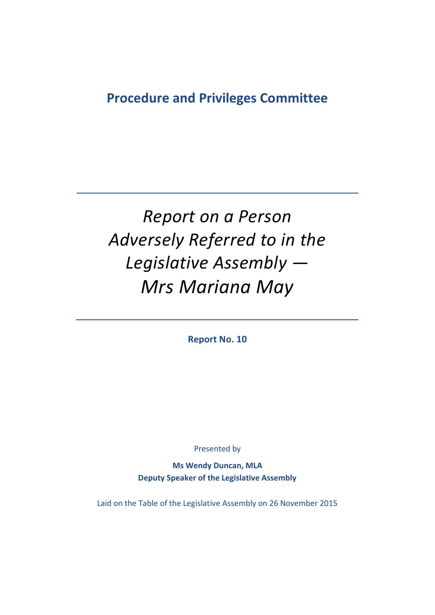# **Procedure and Privileges Committee**

# *Report on a Person Adversely Referred to in the Legislative Assembly — Mrs Mariana May*

**Report No. 10**

Presented by

**Ms Wendy Duncan, MLA Deputy Speaker of the Legislative Assembly**

Laid on the Table of the Legislative Assembly on 26 November 2015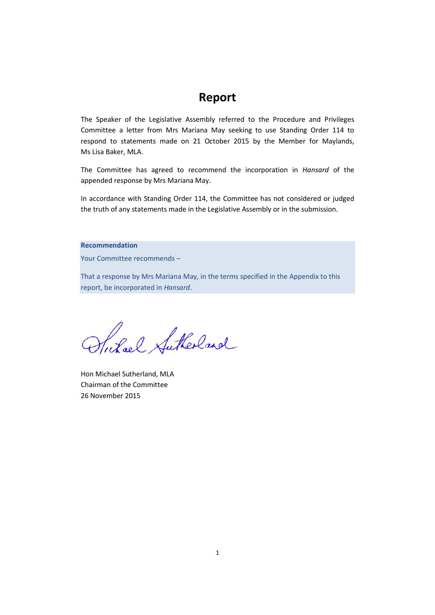## **Report**

The Speaker of the Legislative Assembly referred to the Procedure and Privileges Committee a letter from Mrs Mariana May seeking to use Standing Order 114 to respond to statements made on 21 October 2015 by the Member for Maylands, Ms Lisa Baker, MLA.

The Committee has agreed to recommend the incorporation in *Hansard* of the appended response by Mrs Mariana May.

In accordance with Standing Order 114, the Committee has not considered or judged the truth of any statements made in the Legislative Assembly or in the submission.

#### **Recommendation**

Your Committee recommends –

That a response by Mrs Mariana May, in the terms specified in the Appendix to this report, be incorporated in *Hansard*.

Suhal Sutherland

Hon Michael Sutherland, MLA Chairman of the Committee 26 November 2015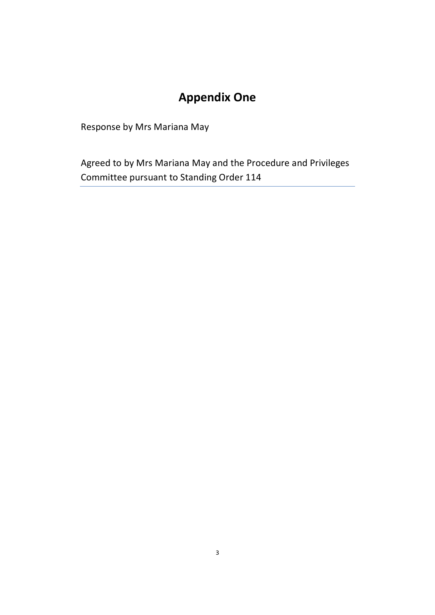# **Appendix One**

Response by Mrs Mariana May

Agreed to by Mrs Mariana May and the Procedure and Privileges Committee pursuant to Standing Order 114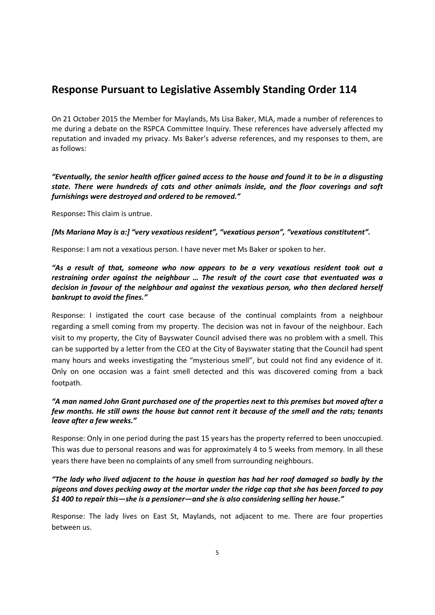### **Response Pursuant to Legislative Assembly Standing Order 114**

On 21 October 2015 the Member for Maylands, Ms Lisa Baker, MLA, made a number of references to me during a debate on the RSPCA Committee Inquiry. These references have adversely affected my reputation and invaded my privacy. Ms Baker's adverse references, and my responses to them, are as follows:

*"Eventually, the senior health officer gained access to the house and found it to be in a disgusting state. There were hundreds of cats and other animals inside, and the floor coverings and soft furnishings were destroyed and ordered to be removed."*

Response**:** This claim is untrue.

*[Ms Mariana May is a:] "very vexatious resident", "vexatious person", "vexatious constitutent".*

Response: I am not a vexatious person. I have never met Ms Baker or spoken to her.

*"As a result of that, someone who now appears to be a very vexatious resident took out a restraining order against the neighbour … The result of the court case that eventuated was a decision in favour of the neighbour and against the vexatious person, who then declared herself bankrupt to avoid the fines."*

Response: I instigated the court case because of the continual complaints from a neighbour regarding a smell coming from my property. The decision was not in favour of the neighbour. Each visit to my property, the City of Bayswater Council advised there was no problem with a smell. This can be supported by a letter from the CEO at the City of Bayswater stating that the Council had spent many hours and weeks investigating the "mysterious smell", but could not find any evidence of it. Only on one occasion was a faint smell detected and this was discovered coming from a back footpath.

### *"A man named John Grant purchased one of the properties next to this premises but moved after a few months. He still owns the house but cannot rent it because of the smell and the rats; tenants leave after a few weeks."*

Response: Only in one period during the past 15 years has the property referred to been unoccupied. This was due to personal reasons and was for approximately 4 to 5 weeks from memory. In all these years there have been no complaints of any smell from surrounding neighbours.

#### *"The lady who lived adjacent to the house in question has had her roof damaged so badly by the pigeons and doves pecking away at the mortar under the ridge cap that she has been forced to pay \$1 400 to repair this—she is a pensioner—and she is also considering selling her house."*

Response: The lady lives on East St, Maylands, not adjacent to me. There are four properties between us.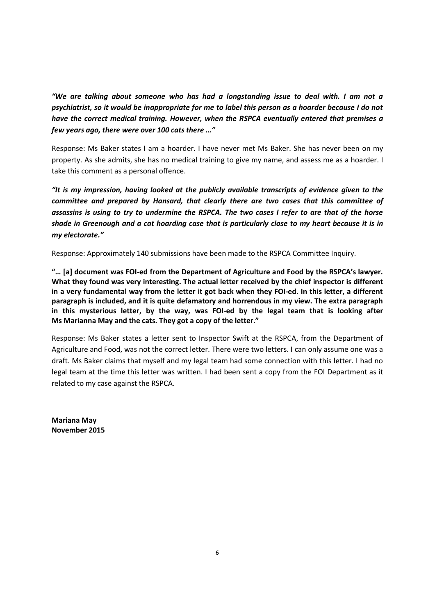*"We are talking about someone who has had a longstanding issue to deal with. I am not a psychiatrist, so it would be inappropriate for me to label this person as a hoarder because I do not have the correct medical training. However, when the RSPCA eventually entered that premises a few years ago, there were over 100 cats there …"*

Response: Ms Baker states I am a hoarder. I have never met Ms Baker. She has never been on my property. As she admits, she has no medical training to give my name, and assess me as a hoarder. I take this comment as a personal offence.

*"It is my impression, having looked at the publicly available transcripts of evidence given to the committee and prepared by Hansard, that clearly there are two cases that this committee of assassins is using to try to undermine the RSPCA. The two cases I refer to are that of the horse shade in Greenough and a cat hoarding case that is particularly close to my heart because it is in my electorate."*

Response: Approximately 140 submissions have been made to the RSPCA Committee Inquiry.

**"… [a] document was FOI-ed from the Department of Agriculture and Food by the RSPCA's lawyer. What they found was very interesting. The actual letter received by the chief inspector is different in a very fundamental way from the letter it got back when they FOI-ed. In this letter, a different paragraph is included, and it is quite defamatory and horrendous in my view. The extra paragraph in this mysterious letter, by the way, was FOI-ed by the legal team that is looking after Ms Marianna May and the cats. They got a copy of the letter."**

Response: Ms Baker states a letter sent to Inspector Swift at the RSPCA, from the Department of Agriculture and Food, was not the correct letter. There were two letters. I can only assume one was a draft. Ms Baker claims that myself and my legal team had some connection with this letter. I had no legal team at the time this letter was written. I had been sent a copy from the FOI Department as it related to my case against the RSPCA.

**Mariana May November 2015**